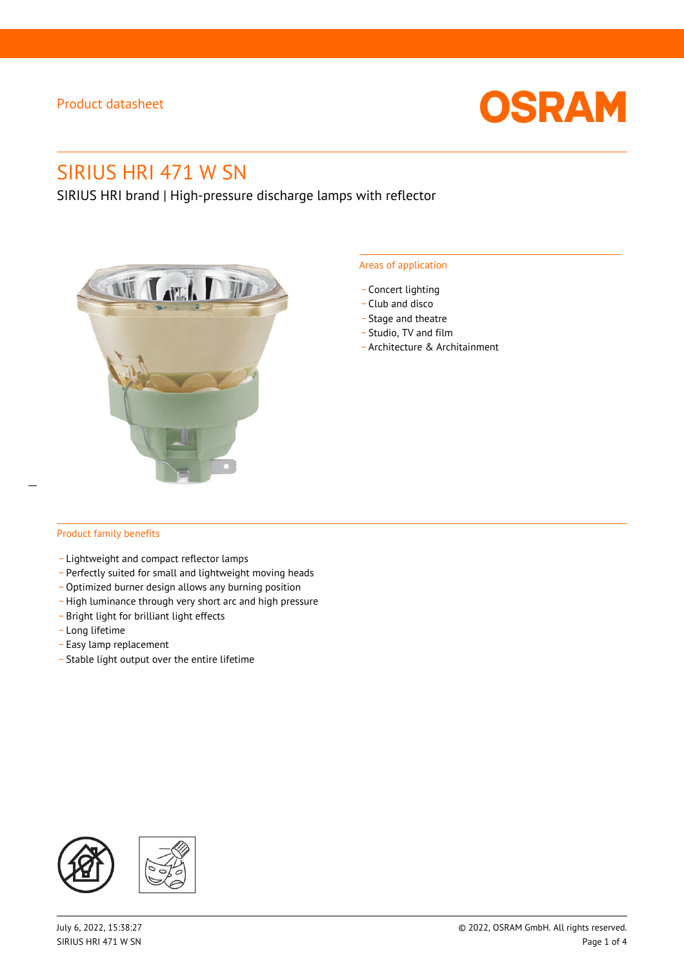

# SIRIUS HRI 471 W SN

SIRIUS HRI brand | High-pressure discharge lamps with reflector



### Areas of application

- Concert lighting
- \_ Club and disco
- Stage and theatre
- \_ Studio, TV and film
- \_ Architecture & Architainment

### Product family benefits

- \_ Lightweight and compact reflector lamps
- \_ Perfectly suited for small and lightweight moving heads
- Optimized burner design allows any burning position
- High luminance through very short arc and high pressure
- \_ Bright light for brilliant light effects
- \_ Long lifetime
- \_ Easy lamp replacement
- \_ Stable light output over the entire lifetime

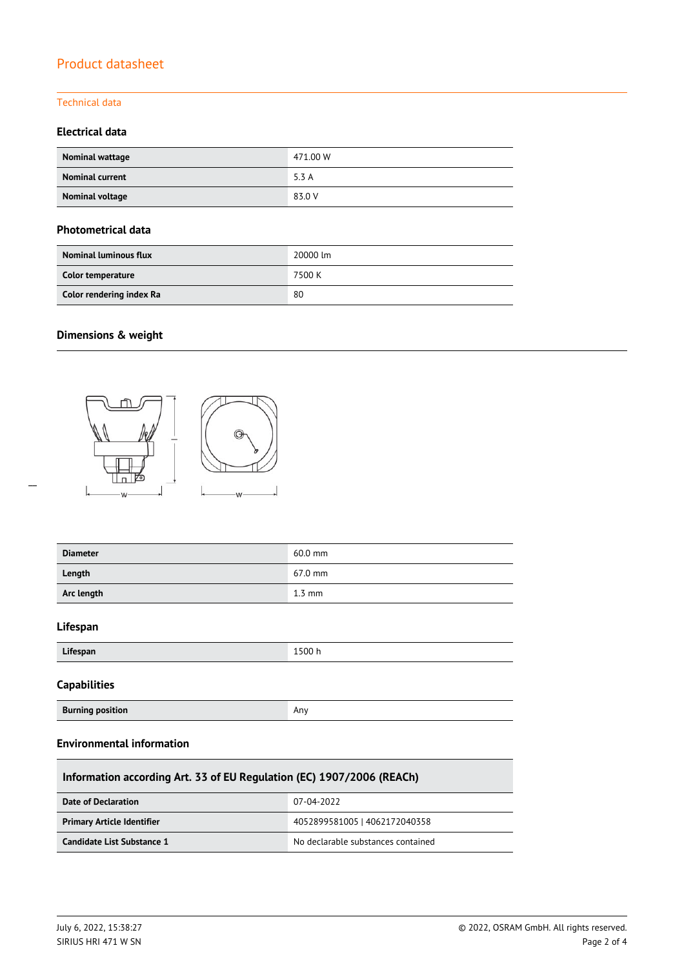## Technical data

## **Electrical data**

| Nominal wattage        | 471.00 W |
|------------------------|----------|
| <b>Nominal current</b> | 5.3A     |
| Nominal voltage        | 83.0 V   |

### **Photometrical data**

| <b>Nominal luminous flux</b> | 20000 lm |
|------------------------------|----------|
| Color temperature            | 7500 K   |
| Color rendering index Ra     | 80       |

## **Dimensions & weight**

 $\overline{a}$ 



| 60.0 mm          |
|------------------|
| 67.0 mm          |
| $1.3 \text{ mm}$ |
|                  |
| 1500 h           |
|                  |
| Any              |
|                  |

## **Environmental information**

| Information according Art. 33 of EU Regulation (EC) 1907/2006 (REACh) |                                    |  |  |  |
|-----------------------------------------------------------------------|------------------------------------|--|--|--|
| Date of Declaration                                                   | 07-04-2022                         |  |  |  |
| <b>Primary Article Identifier</b>                                     | 4052899581005   4062172040358      |  |  |  |
| Candidate List Substance 1                                            | No declarable substances contained |  |  |  |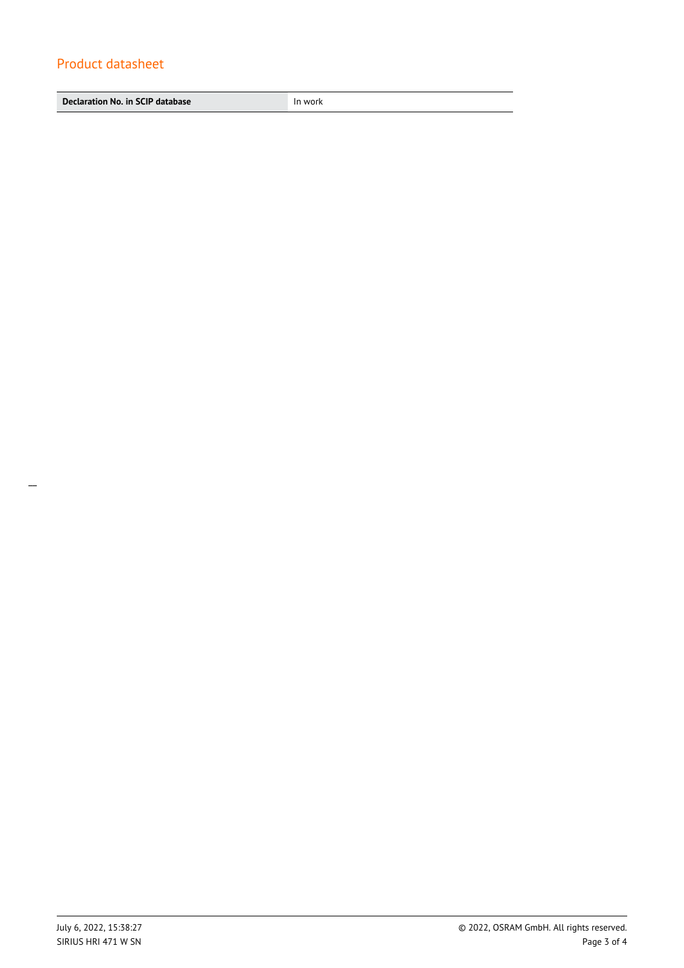**Declaration No. in SCIP database In work**